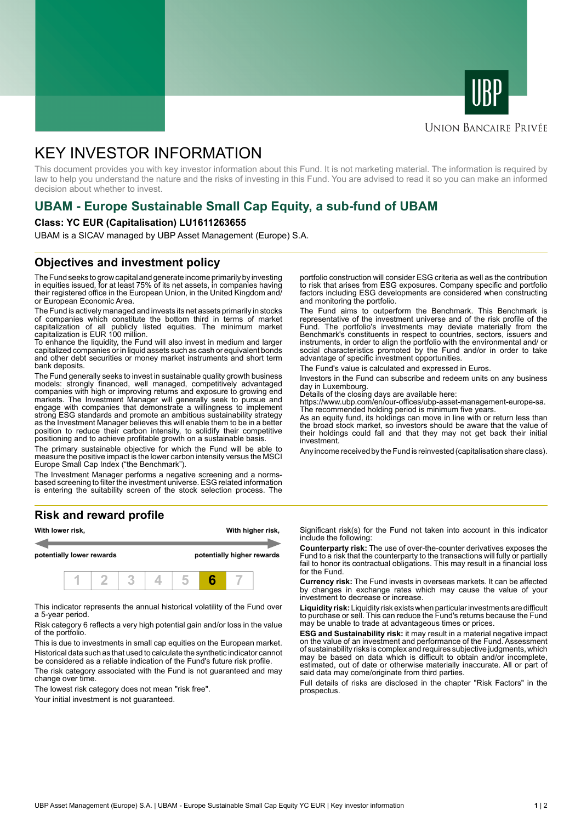



# **UNION BANCAIRE PRIVÉE**

# KEY INVESTOR INFORMATION

This document provides you with key investor information about this Fund. It is not marketing material. The information is required by law to help you understand the nature and the risks of investing in this Fund. You are advised to read it so you can make an informed decision about whether to invest.

# **UBAM - Europe Sustainable Small Cap Equity, a sub-fund of UBAM**

### **Class: YC EUR (Capitalisation) LU1611263655**

UBAM is a SICAV managed by UBP Asset Management (Europe) S.A.

# **Objectives and investment policy**

The Fund seeks to grow capital and generate income primarily by investing in equities issued, for at least 75% of its net assets, in companies having their registered office in the European Union, in the United Kingdom and/ or European Economic Area.

The Fund is actively managed and invests its net assets primarily in stocks of companies which constitute the bottom third in terms of market capitalization of all publicly listed equities. The minimum market capitalization is EUR 100 million.

To enhance the liquidity, the Fund will also invest in medium and larger capitalized companies or in liquid assets such as cash or equivalent bonds and other debt securities or money market instruments and short term bank deposits.

The Fund generally seeks to invest in sustainable quality growth business models: strongly financed, well managed, competitively advantaged companies with high or improving returns and exposure to growing end markets. The Investment Manager will generally seek to pursue and engage with companies that demonstrate a willingness to implement strong ESG standards and promote an ambitious sustainability strategy as the Investment Manager believes this will enable them to be in a better position to reduce their carbon intensity, to solidify their competitive positioning and to achieve profitable growth on a sustainable basis.

The primary sustainable objective for which the Fund will be able to measure the positive impact is the lower carbon intensity versus the MSCI Europe Small Cap Index ("the Benchmark").

The Investment Manager performs a negative screening and a normsbased screening to filter the investment universe. ESG related information is entering the suitability screen of the stock selection process. The

# **Risk and reward profile**



This indicator represents the annual historical volatility of the Fund over a 5-year period.

Risk category 6 reflects a very high potential gain and/or loss in the value of the portfolio.

This is due to investments in small cap equities on the European market. Historical data such as that used to calculate the synthetic indicator cannot be considered as a reliable indication of the Fund's future risk profile.

The risk category associated with the Fund is not guaranteed and may change over time.

The lowest risk category does not mean "risk free".

Your initial investment is not quaranteed.

portfolio construction will consider ESG criteria as well as the contribution to risk that arises from ESG exposures. Company specific and portfolio factors including ESG developments are considered when constructing and monitoring the portfolio.

The Fund aims to outperform the Benchmark. This Benchmark is representative of the investment universe and of the risk profile of the Fund. The portfolio's investments may deviate materially from the Benchmark's constituents in respect to countries, sectors, issuers and instruments, in order to align the portfolio with the environmental and/ or social characteristics promoted by the Fund and/or in order to take advantage of specific investment opportunities.

The Fund's value is calculated and expressed in Euros.

Investors in the Fund can subscribe and redeem units on any business day in Luxembourg.

Details of the closing days are available here:

https://www.ubp.com/en/our-offices/ubp-asset-management-europe-sa.

The recommended holding period is minimum five years. As an equity fund, its holdings can move in line with or return less than the broad stock market, so investors should be aware that the value of their holdings could fall and that they may not get back their initial investment.

Any income received by the Fund is reinvested (capitalisation share class).

Significant risk(s) for the Fund not taken into account in this indicator include the following:

**Counterparty risk:** The use of over-the-counter derivatives exposes the Fund to a risk that the counterparty to the transactions will fully or partially fail to honor its contractual obligations. This may result in a financial loss for the Fund.

**Currency risk:** The Fund invests in overseas markets. It can be affected by changes in exchange rates which may cause the value of your investment to decrease or increase.

**Liquidity risk:** Liquidity risk exists when particular investments are difficult to purchase or sell. This can reduce the Fund's returns because the Fund may be unable to trade at advantageous times or prices.

**ESG and Sustainability risk:** it may result in a material negative impact on the value of an investment and performance of the Fund. Assessment of sustainability risks is complex and requires subjective judgments, which may be based on data which is difficult to obtain and/or incomplete, estimated, out of date or otherwise materially inaccurate. All or part of said data may come/originate from third parties.

Full details of risks are disclosed in the chapter "Risk Factors" in the prospectus.